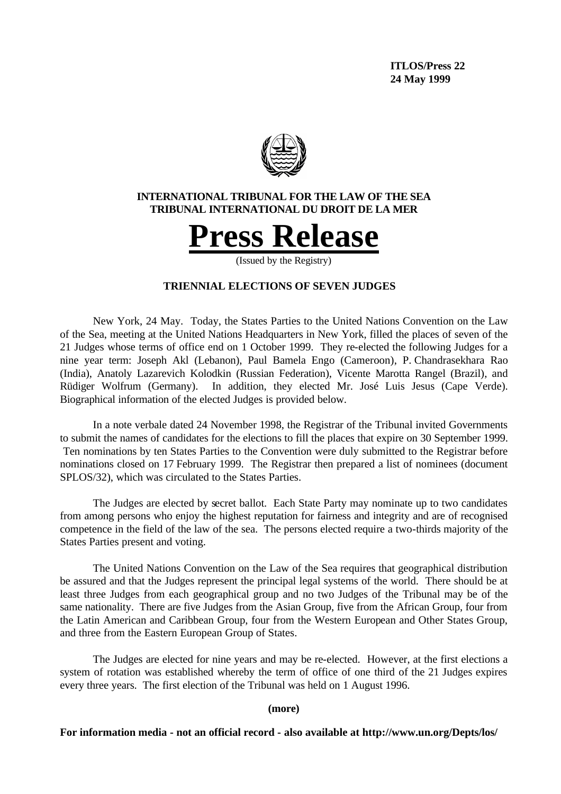**ITLOS/Press 22 24 May 1999**



## **INTERNATIONAL TRIBUNAL FOR THE LAW OF THE SEA TRIBUNAL INTERNATIONAL DU DROIT DE LA MER**



(Issued by the Registry)

# **TRIENNIAL ELECTIONS OF SEVEN JUDGES**

New York, 24 May. Today, the States Parties to the United Nations Convention on the Law of the Sea, meeting at the United Nations Headquarters in New York, filled the places of seven of the 21 Judges whose terms of office end on 1 October 1999. They re-elected the following Judges for a nine year term: Joseph Akl (Lebanon), Paul Bamela Engo (Cameroon), P. Chandrasekhara Rao (India), Anatoly Lazarevich Kolodkin (Russian Federation), Vicente Marotta Rangel (Brazil), and Rüdiger Wolfrum (Germany). In addition, they elected Mr. José Luis Jesus (Cape Verde). Biographical information of the elected Judges is provided below.

In a note verbale dated 24 November 1998, the Registrar of the Tribunal invited Governments to submit the names of candidates for the elections to fill the places that expire on 30 September 1999. Ten nominations by ten States Parties to the Convention were duly submitted to the Registrar before nominations closed on 17 February 1999. The Registrar then prepared a list of nominees (document SPLOS/32), which was circulated to the States Parties.

The Judges are elected by secret ballot. Each State Party may nominate up to two candidates from among persons who enjoy the highest reputation for fairness and integrity and are of recognised competence in the field of the law of the sea. The persons elected require a two-thirds majority of the States Parties present and voting.

The United Nations Convention on the Law of the Sea requires that geographical distribution be assured and that the Judges represent the principal legal systems of the world. There should be at least three Judges from each geographical group and no two Judges of the Tribunal may be of the same nationality. There are five Judges from the Asian Group, five from the African Group, four from the Latin American and Caribbean Group, four from the Western European and Other States Group, and three from the Eastern European Group of States.

The Judges are elected for nine years and may be re-elected. However, at the first elections a system of rotation was established whereby the term of office of one third of the 21 Judges expires every three years. The first election of the Tribunal was held on 1 August 1996.

#### **(more)**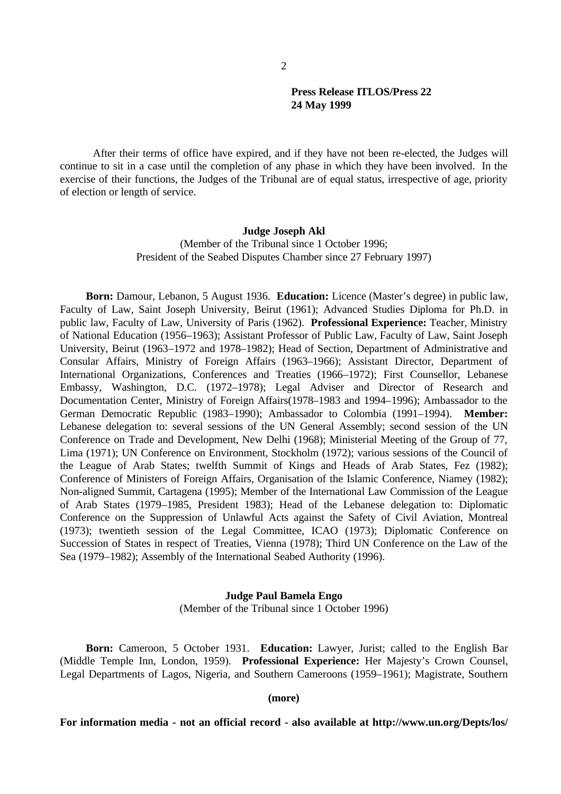After their terms of office have expired, and if they have not been re-elected, the Judges will continue to sit in a case until the completion of any phase in which they have been involved. In the exercise of their functions, the Judges of the Tribunal are of equal status, irrespective of age, priority of election or length of service.

## **Judge Joseph Akl**

(Member of the Tribunal since 1 October 1996; President of the Seabed Disputes Chamber since 27 February 1997)

**Born:** Damour, Lebanon, 5 August 1936. **Education:** Licence (Master's degree) in public law, Faculty of Law, Saint Joseph University, Beirut (1961); Advanced Studies Diploma for Ph.D. in public law, Faculty of Law, University of Paris (1962). **Professional Experience:** Teacher, Ministry of National Education (1956–1963); Assistant Professor of Public Law, Faculty of Law, Saint Joseph University, Beirut (1963–1972 and 1978–1982); Head of Section, Department of Administrative and Consular Affairs, Ministry of Foreign Affairs (1963–1966); Assistant Director, Department of International Organizations, Conferences and Treaties (1966–1972); First Counsellor, Lebanese Embassy, Washington, D.C. (1972–1978); Legal Adviser and Director of Research and Documentation Center, Ministry of Foreign Affairs(1978–1983 and 1994–1996); Ambassador to the German Democratic Republic (1983–1990); Ambassador to Colombia (1991–1994). **Member:**  Lebanese delegation to: several sessions of the UN General Assembly; second session of the UN Conference on Trade and Development, New Delhi (1968); Ministerial Meeting of the Group of 77, Lima (1971); UN Conference on Environment, Stockholm (1972); various sessions of the Council of the League of Arab States; twelfth Summit of Kings and Heads of Arab States, Fez (1982); Conference of Ministers of Foreign Affairs, Organisation of the Islamic Conference, Niamey (1982); Non-aligned Summit, Cartagena (1995); Member of the International Law Commission of the League of Arab States (1979–1985, President 1983); Head of the Lebanese delegation to: Diplomatic Conference on the Suppression of Unlawful Acts against the Safety of Civil Aviation, Montreal (1973); twentieth session of the Legal Committee, ICAO (1973); Diplomatic Conference on Succession of States in respect of Treaties, Vienna (1978); Third UN Conference on the Law of the Sea (1979–1982); Assembly of the International Seabed Authority (1996).

## **Judge Paul Bamela Engo**

(Member of the Tribunal since 1 October 1996)

**Born:** Cameroon, 5 October 1931. **Education:** Lawyer, Jurist; called to the English Bar (Middle Temple Inn, London, 1959). **Professional Experience:** Her Majesty's Crown Counsel, Legal Departments of Lagos, Nigeria, and Southern Cameroons (1959–1961); Magistrate, Southern

**(more)**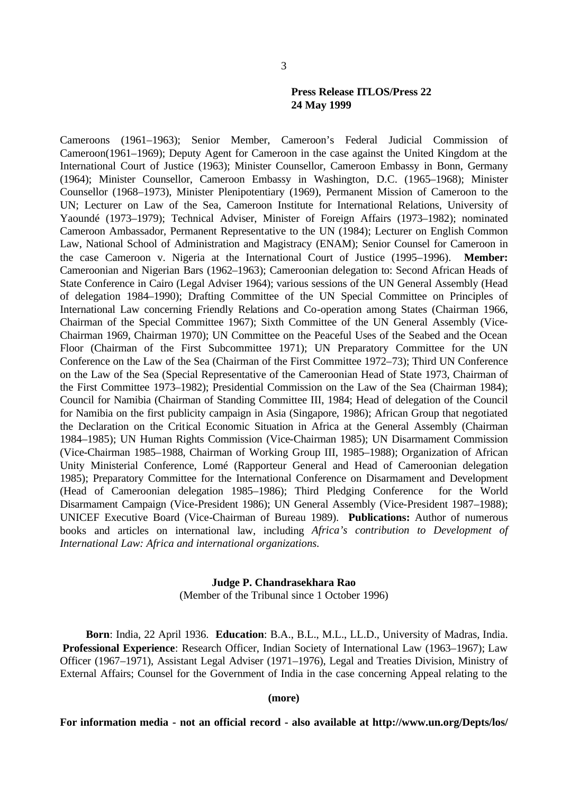Cameroons (1961–1963); Senior Member, Cameroon's Federal Judicial Commission of Cameroon(1961–1969); Deputy Agent for Cameroon in the case against the United Kingdom at the International Court of Justice (1963); Minister Counsellor, Cameroon Embassy in Bonn, Germany (1964); Minister Counsellor, Cameroon Embassy in Washington, D.C. (1965–1968); Minister Counsellor (1968–1973), Minister Plenipotentiary (1969), Permanent Mission of Cameroon to the UN; Lecturer on Law of the Sea, Cameroon Institute for International Relations, University of Yaoundé (1973–1979); Technical Adviser, Minister of Foreign Affairs (1973–1982); nominated Cameroon Ambassador, Permanent Representative to the UN (1984); Lecturer on English Common Law, National School of Administration and Magistracy (ENAM); Senior Counsel for Cameroon in the case Cameroon v. Nigeria at the International Court of Justice (1995–1996). **Member:**  Cameroonian and Nigerian Bars (1962–1963); Cameroonian delegation to: Second African Heads of State Conference in Cairo (Legal Adviser 1964); various sessions of the UN General Assembly (Head of delegation 1984–1990); Drafting Committee of the UN Special Committee on Principles of International Law concerning Friendly Relations and Co-operation among States (Chairman 1966, Chairman of the Special Committee 1967); Sixth Committee of the UN General Assembly (Vice-Chairman 1969, Chairman 1970); UN Committee on the Peaceful Uses of the Seabed and the Ocean Floor (Chairman of the First Subcommittee 1971); UN Preparatory Committee for the UN Conference on the Law of the Sea (Chairman of the First Committee 1972–73); Third UN Conference on the Law of the Sea (Special Representative of the Cameroonian Head of State 1973, Chairman of the First Committee 1973–1982); Presidential Commission on the Law of the Sea (Chairman 1984); Council for Namibia (Chairman of Standing Committee III, 1984; Head of delegation of the Council for Namibia on the first publicity campaign in Asia (Singapore, 1986); African Group that negotiated the Declaration on the Critical Economic Situation in Africa at the General Assembly (Chairman 1984–1985); UN Human Rights Commission (Vice-Chairman 1985); UN Disarmament Commission (Vice-Chairman 1985–1988, Chairman of Working Group III, 1985–1988); Organization of African Unity Ministerial Conference, Lomé (Rapporteur General and Head of Cameroonian delegation 1985); Preparatory Committee for the International Conference on Disarmament and Development (Head of Cameroonian delegation 1985–1986); Third Pledging Conference for the World Disarmament Campaign (Vice-President 1986); UN General Assembly (Vice-President 1987–1988); UNICEF Executive Board (Vice-Chairman of Bureau 1989). **Publications:** Author of numerous books and articles on international law, including *Africa's contribution to Development of International Law: Africa and international organizations.*

# **Judge P. Chandrasekhara Rao**

(Member of the Tribunal since 1 October 1996)

**Born**: India, 22 April 1936. **Education**: B.A., B.L., M.L., LL.D., University of Madras, India. **Professional Experience**: Research Officer, Indian Society of International Law (1963–1967); Law Officer (1967–1971), Assistant Legal Adviser (1971–1976), Legal and Treaties Division, Ministry of External Affairs; Counsel for the Government of India in the case concerning Appeal relating to the

**(more)**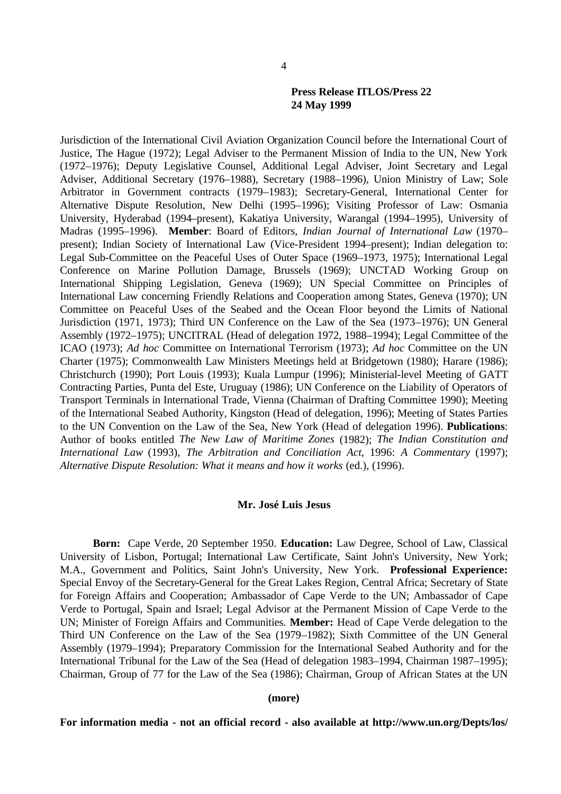Jurisdiction of the International Civil Aviation Organization Council before the International Court of Justice, The Hague (1972); Legal Adviser to the Permanent Mission of India to the UN, New York (1972–1976); Deputy Legislative Counsel, Additional Legal Adviser, Joint Secretary and Legal Adviser, Additional Secretary (1976–1988), Secretary (1988–1996), Union Ministry of Law; Sole Arbitrator in Government contracts (1979–1983); Secretary-General, International Center for Alternative Dispute Resolution, New Delhi (1995–1996); Visiting Professor of Law: Osmania University, Hyderabad (1994–present), Kakatiya University, Warangal (1994–1995), University of Madras (1995–1996). **Member**: Board of Editors, *Indian Journal of International Law* (1970– present); Indian Society of International Law (Vice-President 1994–present); Indian delegation to: Legal Sub-Committee on the Peaceful Uses of Outer Space (1969–1973, 1975); International Legal Conference on Marine Pollution Damage, Brussels (1969); UNCTAD Working Group on International Shipping Legislation, Geneva (1969); UN Special Committee on Principles of International Law concerning Friendly Relations and Cooperation among States, Geneva (1970); UN Committee on Peaceful Uses of the Seabed and the Ocean Floor beyond the Limits of National Jurisdiction (1971, 1973); Third UN Conference on the Law of the Sea (1973–1976); UN General Assembly (1972–1975); UNCITRAL (Head of delegation 1972, 1988–1994); Legal Committee of the ICAO (1973); *Ad hoc* Committee on International Terrorism (1973); *Ad hoc* Committee on the UN Charter (1975); Commonwealth Law Ministers Meetings held at Bridgetown (1980); Harare (1986); Christchurch (1990); Port Louis (1993); Kuala Lumpur (1996); Ministerial-level Meeting of GATT Contracting Parties, Punta del Este, Uruguay (1986); UN Conference on the Liability of Operators of Transport Terminals in International Trade, Vienna (Chairman of Drafting Committee 1990); Meeting of the International Seabed Authority, Kingston (Head of delegation, 1996); Meeting of States Parties to the UN Convention on the Law of the Sea, New York (Head of delegation 1996). **Publications**: Author of books entitled *The New Law of Maritime Zones* (1982); *The Indian Constitution and International Law* (1993), *The Arbitration and Conciliation Act*, 1996: *A Commentary* (1997); *Alternative Dispute Resolution: What it means and how it works* (ed.), (1996).

## **Mr. José Luis Jesus**

**Born:** Cape Verde, 20 September 1950. **Education:** Law Degree, School of Law, Classical University of Lisbon, Portugal; International Law Certificate, Saint John's University, New York; M.A., Government and Politics, Saint John's University, New York. **Professional Experience:** Special Envoy of the Secretary-General for the Great Lakes Region, Central Africa; Secretary of State for Foreign Affairs and Cooperation; Ambassador of Cape Verde to the UN; Ambassador of Cape Verde to Portugal, Spain and Israel; Legal Advisor at the Permanent Mission of Cape Verde to the UN; Minister of Foreign Affairs and Communities. **Member:** Head of Cape Verde delegation to the Third UN Conference on the Law of the Sea (1979–1982); Sixth Committee of the UN General Assembly (1979–1994); Preparatory Commission for the International Seabed Authority and for the International Tribunal for the Law of the Sea (Head of delegation 1983–1994, Chairman 1987–1995); Chairman, Group of 77 for the Law of the Sea (1986); Chairman, Group of African States at the UN

#### **(more)**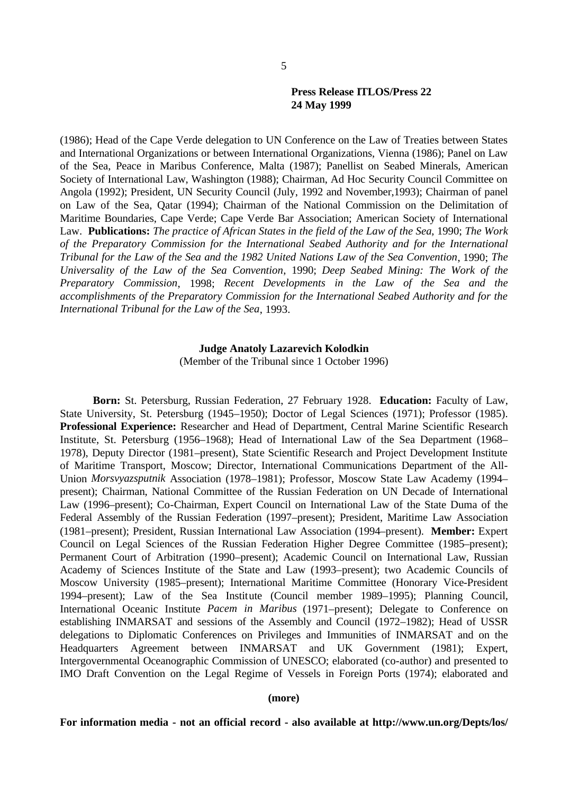(1986); Head of the Cape Verde delegation to UN Conference on the Law of Treaties between States and International Organizations or between International Organizations, Vienna (1986); Panel on Law of the Sea, Peace in Maribus Conference, Malta (1987); Panellist on Seabed Minerals, American Society of International Law, Washington (1988); Chairman, Ad Hoc Security Council Committee on Angola (1992); President, UN Security Council (July, 1992 and November,1993); Chairman of panel on Law of the Sea, Qatar (1994); Chairman of the National Commission on the Delimitation of Maritime Boundaries, Cape Verde; Cape Verde Bar Association; American Society of International Law. **Publications:** *The practice of African States in the field of the Law of the Sea*, 1990; *The Work of the Preparatory Commission for the International Seabed Authority and for the International Tribunal for the Law of the Sea and the 1982 United Nations Law of the Sea Convention*, 1990; *The Universality of the Law of the Sea Convention*, 1990; *Deep Seabed Mining: The Work of the Preparatory Commission*, 1998; *Recent Developments in the Law of the Sea and the accomplishments of the Preparatory Commission for the International Seabed Authority and for the International Tribunal for the Law of the Sea*, 1993.

## **Judge Anatoly Lazarevich Kolodkin** (Member of the Tribunal since 1 October 1996)

**Born:** St. Petersburg, Russian Federation, 27 February 1928. **Education:** Faculty of Law, State University, St. Petersburg (1945–1950); Doctor of Legal Sciences (1971); Professor (1985). **Professional Experience:** Researcher and Head of Department, Central Marine Scientific Research Institute, St. Petersburg (1956–1968); Head of International Law of the Sea Department (1968– 1978), Deputy Director (1981–present), State Scientific Research and Project Development Institute of Maritime Transport, Moscow; Director, International Communications Department of the All-Union *Morsvyazsputnik* Association (1978–1981); Professor, Moscow State Law Academy (1994– present); Chairman, National Committee of the Russian Federation on UN Decade of International Law (1996–present); Co-Chairman, Expert Council on International Law of the State Duma of the Federal Assembly of the Russian Federation (1997–present); President, Maritime Law Association (1981–present); President, Russian International Law Association (1994–present). **Member:** Expert Council on Legal Sciences of the Russian Federation Higher Degree Committee (1985–present); Permanent Court of Arbitration (1990–present); Academic Council on International Law, Russian Academy of Sciences Institute of the State and Law (1993–present); two Academic Councils of Moscow University (1985–present); International Maritime Committee (Honorary Vice-President 1994–present); Law of the Sea Institute (Council member 1989–1995); Planning Council, International Oceanic Institute *Pacem in Maribus* (1971–present); Delegate to Conference on establishing INMARSAT and sessions of the Assembly and Council (1972–1982); Head of USSR delegations to Diplomatic Conferences on Privileges and Immunities of INMARSAT and on the Headquarters Agreement between INMARSAT and UK Government (1981); Expert, Intergovernmental Oceanographic Commission of UNESCO; elaborated (co-author) and presented to IMO Draft Convention on the Legal Regime of Vessels in Foreign Ports (1974); elaborated and

#### **(more)**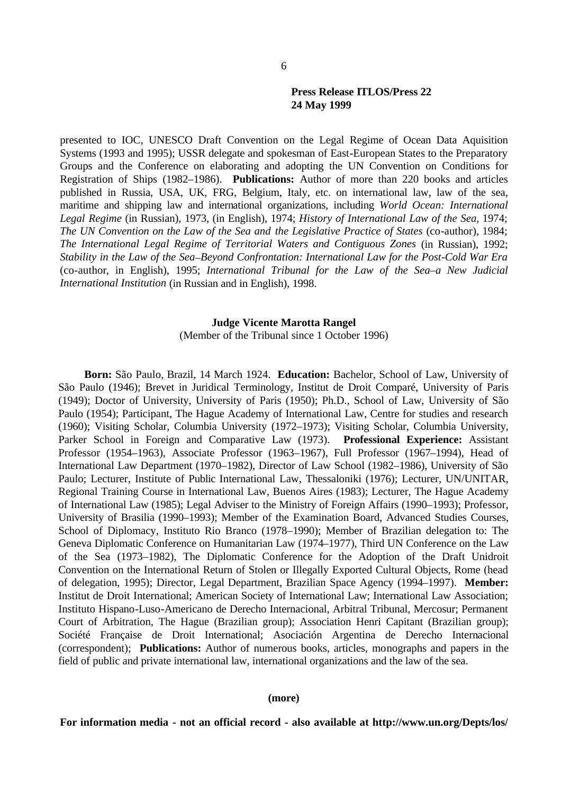presented to IOC, UNESCO Draft Convention on the Legal Regime of Ocean Data Aquisition Systems (1993 and 1995); USSR delegate and spokesman of East-European States to the Preparatory Groups and the Conference on elaborating and adopting the UN Convention on Conditions for Registration of Ships (1982–1986). **Publications:** Author of more than 220 books and articles published in Russia, USA, UK, FRG, Belgium, Italy, etc. on international law, law of the sea, maritime and shipping law and international organizations, including *World Ocean: International Legal Regime* (in Russian), 1973, (in English), 1974; *History of International Law of the Sea*, 1974; *The UN Convention on the Law of the Sea and the Legislative Practice of States* (co-author), 1984; *The International Legal Regime of Territorial Waters and Contiguous Zones* (in Russian), 1992; *Stability in the Law of the Sea*–*Beyond Confrontation: International Law for the Post-Cold War Era* (co-author, in English), 1995; *International Tribunal for the Law of the Sea–a New Judicial International Institution* (in Russian and in English), 1998.

#### **Judge Vicente Marotta Rangel**

(Member of the Tribunal since 1 October 1996)

**Born:** São Paulo, Brazil, 14 March 1924. **Education:** Bachelor, School of Law, University of São Paulo (1946); Brevet in Juridical Terminology, Institut de Droit Comparé, University of Paris (1949); Doctor of University, University of Paris (1950); Ph.D., School of Law, University of São Paulo (1954); Participant, The Hague Academy of International Law, Centre for studies and research (1960); Visiting Scholar, Columbia University (1972–1973); Visiting Scholar, Columbia University, Parker School in Foreign and Comparative Law (1973). **Professional Experience:** Assistant Professor (1954–1963), Associate Professor (1963–1967), Full Professor (1967–1994), Head of International Law Department (1970–1982), Director of Law School (1982–1986), University of São Paulo; Lecturer, Institute of Public International Law, Thessaloniki (1976); Lecturer, UN/UNITAR, Regional Training Course in International Law, Buenos Aires (1983); Lecturer, The Hague Academy of International Law (1985); Legal Adviser to the Ministry of Foreign Affairs (1990–1993); Professor, University of Brasilia (1990–1993); Member of the Examination Board, Advanced Studies Courses, School of Diplomacy, Instituto Rio Branco (1978–1990); Member of Brazilian delegation to: The Geneva Diplomatic Conference on Humanitarian Law (1974–1977), Third UN Conference on the Law of the Sea (1973–1982), The Diplomatic Conference for the Adoption of the Draft Unidroit Convention on the International Return of Stolen or Illegally Exported Cultural Objects, Rome (head of delegation, 1995); Director, Legal Department, Brazilian Space Agency (1994–1997). **Member:**  Institut de Droit International; American Society of International Law; International Law Association; Instituto Hispano-Luso-Americano de Derecho Internacional, Arbitral Tribunal, Mercosur; Permanent Court of Arbitration, The Hague (Brazilian group); Association Henri Capitant (Brazilian group); Société Française de Droit International; Asociación Argentina de Derecho Internacional (correspondent); **Publications:** Author of numerous books, articles, monographs and papers in the field of public and private international law, international organizations and the law of the sea.

#### **(more)**